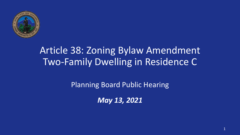

# Article 38: Zoning Bylaw Amendment Two-Family Dwelling in Residence C

Planning Board Public Hearing

*May 13, 2021*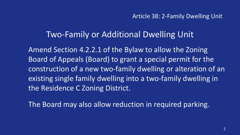### Two-Family or Additional Dwelling Unit

Amend Section 4.2.2.1 of the Bylaw to allow the Zoning Board of Appeals (Board) to grant a special permit for the construction of a new two-family dwelling or alteration of an existing single family dwelling into a two-family dwelling in the Residence C Zoning District.

The Board may also allow reduction in required parking.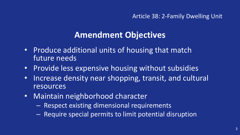# **Amendment Objectives**

- Produce additional units of housing that match future needs
- Provide less expensive housing without subsidies
- Increase density near shopping, transit, and cultural resources
- Maintain neighborhood character
	- Respect existing dimensional requirements
	- Require special permits to limit potential disruption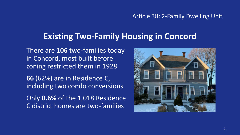### **Existing Two-Family Housing in Concord**

There are **106** two-families today in Concord, most built before zoning restricted them in 1928

**66** (62%) are in Residence C, including two condo conversions

Only **0.6%** of the 1,018 Residence C district homes are two-families

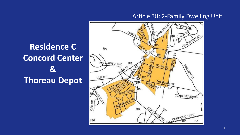# **Residence C Concord Center & Thoreau Depot**

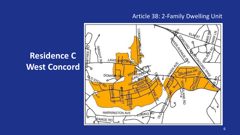

# **Residence C West Concord**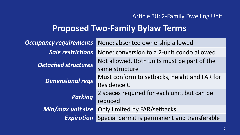## **Proposed Two-Family Bylaw Terms**

| <b>Occupancy requirements</b> | None: absentee ownership allowed             |
|-------------------------------|----------------------------------------------|
| <b>Sale restrictions</b>      | None: conversion to a 2-unit condo allowed   |
| <b>Detached structures</b>    | Not allowed. Both units must be part of the  |
|                               | same structure                               |
| <b>Dimensional regs</b>       | Must conform to setbacks, height and FAR for |
|                               | Residence C                                  |
| <b>Parking</b>                | 2 spaces required for each unit, but can be  |
|                               | reduced                                      |
| Min/max unit size             | Only limited by FAR/setbacks                 |
| <b>Expiration</b>             | Special permit is permanent and transferable |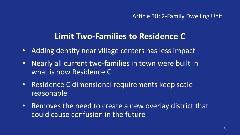### **Limit Two-Families to Residence C**

- Adding density near village centers has less impact
- Nearly all current two-families in town were built in what is now Residence C
- Residence C dimensional requirements keep scale reasonable
- Removes the need to create a new overlay district that could cause confusion in the future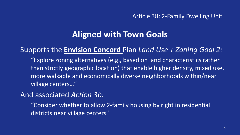### **Aligned with Town Goals**

### Supports the **Envision Concord** Plan *Land Use + Zoning Goal 2:*

"Explore zoning alternatives (e.g., based on land characteristics rather than strictly geographic location) that enable higher density, mixed use, more walkable and economically diverse neighborhoods within/near village centers…"

### And associated *Action 3b:*

"Consider whether to allow 2-family housing by right in residential districts near village centers"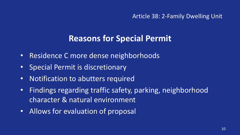## **Reasons for Special Permit**

- Residence C more dense neighborhoods
- Special Permit is discretionary
- Notification to abutters required
- Findings regarding traffic safety, parking, neighborhood character & natural environment
- Allows for evaluation of proposal